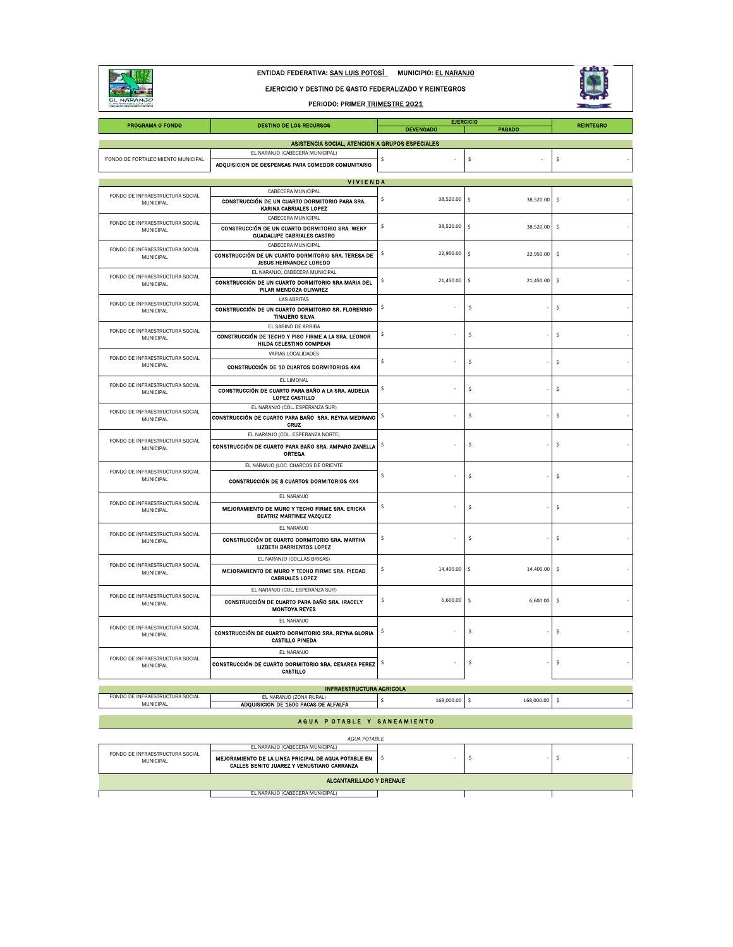

ENTIDAD FEDERATIVA: SAN LUIS POTOSÍ MUNICIPIO: EL NARANJO

EJERCICIO Y DESTINO DE GASTO FEDERALIZADO Y REINTEGROS

PERIODO: PRIMER TRIMESTRE 2021



| <b>PROGRAMA O FONDO</b>                             | <b>DESTINO DE LOS RECURSOS</b>                                                      | <b>EJERCICIO</b><br><b>DEVENGADO</b> | <b>REINTEGRO</b>           |                           |
|-----------------------------------------------------|-------------------------------------------------------------------------------------|--------------------------------------|----------------------------|---------------------------|
|                                                     | ASISTENCIA SOCIAL, ATENCION A GRUPOS ESPECIALES                                     |                                      | PAGADO                     |                           |
|                                                     | EL NARANJO (CABECERA MUNICIPAL)                                                     |                                      |                            |                           |
| FONDO DE FORTALECIMIENTO MUNICIPAL                  | ADQUISICION DE DESPENSAS PARA COMEDOR COMUNITARIO                                   | \$                                   | \$                         | \$                        |
|                                                     |                                                                                     |                                      |                            |                           |
|                                                     | <b>VIVIENDA</b><br>CABECERA MUNICIPAL                                               |                                      |                            |                           |
| FONDO DE INFRAESTRUCTURA SOCIAL<br>MUNICIPAL        | CONSTRUCCIÓN DE UN CUARTO DORMITORIO PARA SRA.                                      | \$<br>38,520.00                      | 38,520.00<br>s.            | \$                        |
|                                                     | <b>KARINA CABRIALES LOPEZ</b>                                                       |                                      |                            |                           |
| FONDO DE INFRAESTRUCTURA SOCIAL                     | CABECERA MUNICIPAL                                                                  | \$<br>38,520.00                      |                            |                           |
| MUNICIPAL                                           | CONSTRUCCIÓN DE UN CUARTO DORMITORIO SRA. WENY<br><b>GUADALUPE CABRIALES CASTRO</b> |                                      | \$<br>38,520.00            | \$                        |
|                                                     | CABECERA MUNICIPAL                                                                  |                                      |                            |                           |
| FONDO DE INFRAESTRUCTURA SOCIAL<br><b>MUNICIPAL</b> | CONSTRUCCIÓN DE UN CUARTO DORMITORIO SRA. TERESA DE                                 | \$<br>22,950.00                      | \$<br>22,950.00            | \$                        |
|                                                     | <b>JESUS HERNANDEZ LOREDO</b><br>EL NARANJO, CABECERA MUNICIPAL                     |                                      |                            |                           |
| FONDO DE INFRAESTRUCTURA SOCIAL<br>MUNICIPAL        | CONSTRUCCIÓN DE UN CUARTO DORMITORIO SRA MARIA DEL                                  | 21,450.00<br>S.                      | \$<br>21,450.00            | $\boldsymbol{\mathsf{S}}$ |
|                                                     | PILAR MENDOZA OLIVAREZ                                                              |                                      |                            |                           |
| FONDO DE INFRAESTRUCTURA SOCIAL                     | <b>LAS ABRITAS</b>                                                                  | \$                                   | \$                         |                           |
| MUNICIPAL                                           | CONSTRUCCIÓN DE UN CUARTO DORMITORIO SR. FLORENSIO<br><b>TINAJERO SILVA</b>         |                                      |                            | \$                        |
| FONDO DE INFRAESTRUCTURA SOCIAL                     | EL SABINO DE ARRIBA                                                                 |                                      |                            |                           |
| MUNICIPAL                                           | CONSTRUCCIÓN DE TECHO Y PISO FIRME A LA SRA. LEONOR                                 | s.                                   | \$                         | \$                        |
|                                                     | HILDA CELESTINO COMPEAN<br>VARIAS LOCALIDADES                                       |                                      |                            |                           |
| FONDO DE INFRAESTRUCTURA SOCIAL<br>MUNICIPAL        |                                                                                     | \$                                   | \$                         | Ś                         |
|                                                     | CONSTRUCCIÓN DE 10 CUARTOS DORMITORIOS 4X4                                          |                                      |                            |                           |
| FONDO DE INFRAESTRUCTURA SOCIAL                     | EL LIMONAL<br>CONSTRUCCIÓN DE CUARTO PARA BAÑO A LA SRA. AUDELIA                    | s.                                   | \$                         | Ś                         |
| MUNICIPAL                                           | LOPEZ CASTILLO                                                                      |                                      |                            |                           |
| FONDO DE INFRAESTRUCTURA SOCIAL                     | EL NARANJO (COL. ESPERANZA SUR)                                                     |                                      |                            |                           |
| MUNICIPAL                                           | CONSTRUCCIÓN DE CUARTO PARA BAÑO SRA. REYNA MEDRANO<br>CRUZ                         | \$                                   | \$                         | \$                        |
|                                                     | EL NARANJO (COL. ESPERANZA NORTE)                                                   |                                      |                            |                           |
| FONDO DE INFRAESTRUCTURA SOCIAL<br>MUNICIPAL        | CONSTRUCCIÓN DE CUARTO PARA BAÑO SRA. AMPARO ZANELLA<br>ORTEGA                      | \$                                   | \$                         | Ś                         |
| FONDO DE INFRAESTRUCTURA SOCIAL                     | EL NARANJO (LOC. CHARCOS DE ORIENTE                                                 |                                      |                            |                           |
| <b>MUNICIPAL</b>                                    | CONSTRUCCIÓN DE 8 CUARTOS DORMITORIOS 4X4                                           | \$                                   | \$                         | \$                        |
| FONDO DE INFRAESTRUCTURA SOCIAL                     | EL NARANJO                                                                          |                                      |                            |                           |
| MUNICIPAL                                           | MEJORAMIENTO DE MURO Y TECHO FIRME SRA. ERICKA<br>BEATRIZ MARTINEZ VAZQUEZ          | \$                                   | \$                         | \$                        |
| FONDO DE INFRAESTRUCTURA SOCIAL                     | EL NARANJO                                                                          |                                      |                            |                           |
| MUNICIPAL                                           | CONSTRUCCIÓN DE CUARTO DORMITORIO SRA. MARTHA<br><b>LIZBETH BARRIENTOS LOPEZ</b>    | \$                                   | \$                         | \$                        |
| FONDO DE INFRAESTRUCTURA SOCIAL                     | EL NARANJO (COL.LAS BRISAS)                                                         |                                      |                            |                           |
| MUNICIPAL                                           | MEJORAMIENTO DE MURO Y TECHO FIRME SRA. PIEDAD<br><b>CABRIALES LOPEZ</b>            | 14,400.00<br>Ś                       | s.<br>14,400.00            | \$                        |
| FONDO DE INFRAESTRUCTURA SOCIAL                     | EL NARANJO (COL. ESPERANZA SUR)                                                     |                                      |                            |                           |
| MUNICIPAL                                           | CONSTRUCCIÓN DE CUARTO PARA BAÑO SRA. IRACELY<br><b>MONTOYA REYES</b>               | Ś                                    | 6,600.00<br>\$<br>6,600.00 | \$                        |
| FONDO DE INFRAESTRUCTURA SOCIAL                     | EL NARANJO                                                                          |                                      |                            |                           |
| MUNICIPAL                                           | CONSTRUCCIÓN DE CUARTO DORMITORIO SRA, REYNA GLORIA<br><b>CASTILLO PINEDA</b>       | S.                                   | \$                         | \$                        |
| FONDO DE INFRAESTRUCTURA SOCIAL                     | EL NARANJO                                                                          |                                      |                            |                           |
| MUNICIPAL                                           | CONSTRUCCIÓN DE CUARTO DORMITORIO SRA. CESAREA PEREZ<br>CASTILLO                    | -\$                                  | \$                         | \$                        |
|                                                     | <b>INFRAESTRUCTURA AGRICOLA</b>                                                     |                                      |                            |                           |
| FONDO DE INFRAESTRUCTURA SOCIAL<br>MUNICIPAL        | EL NARANJO (ZONA RURAL)                                                             | Ś<br>168,000.00                      | Ś<br>168,000.00            | \$                        |
|                                                     | ADQUISICION DE 1500 PACAS DE ALFALFA                                                |                                      |                            |                           |

## A GUA POTABLE Y SANEAMIENTO

|  | AGUA POTABLE                                 |                                                                                                    |  |  |  |  |  |  |
|--|----------------------------------------------|----------------------------------------------------------------------------------------------------|--|--|--|--|--|--|
|  | EL NARANJO (CABECERA MUNICIPAL)              |                                                                                                    |  |  |  |  |  |  |
|  | FONDO DE INFRAESTRUCTURA SOCIAL<br>MUNICIPAL | MEJORAMIENTO DE LA LINEA PRICIPAL DE AGUA POTABLE EN<br>CALLES BENITO JUAREZ Y VENUSTIANO CARRANZA |  |  |  |  |  |  |
|  | ALCANTARILLADO Y DRENAJE                     |                                                                                                    |  |  |  |  |  |  |
|  |                                              | EL NARANJO (CABECERA MUNICIPAL)                                                                    |  |  |  |  |  |  |
|  |                                              |                                                                                                    |  |  |  |  |  |  |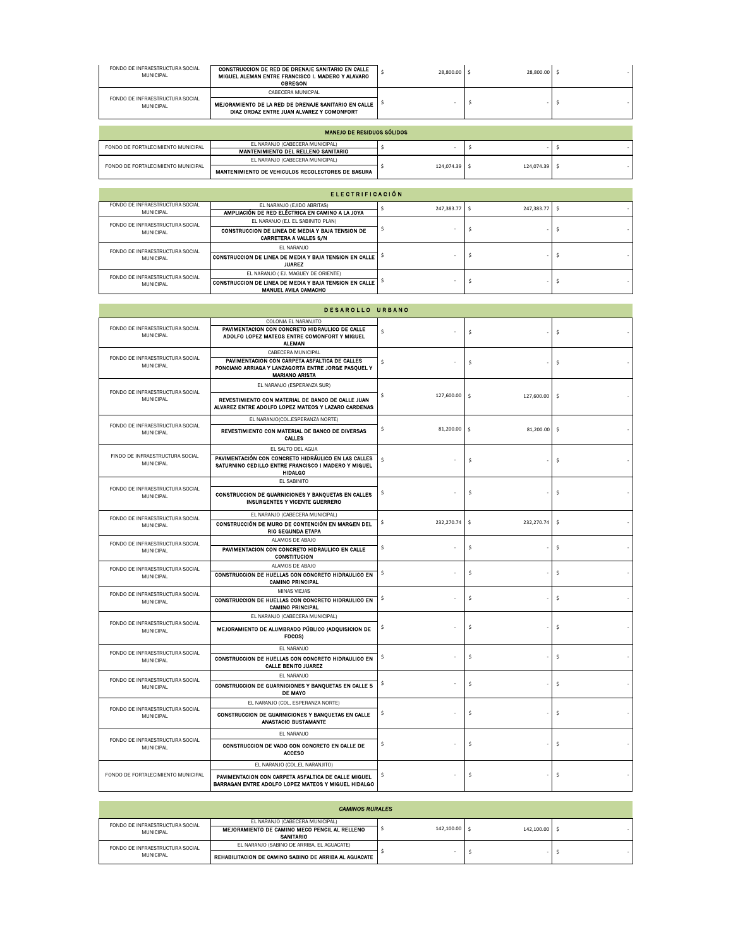| FONDO DE INFRAESTRUCTURA SOCIAL<br><b>MUNICIPAL</b> | CONSTRUCCION DE RED DE DRENAJE SANITARIO EN CALLE<br>MIGUEL ALEMAN ENTRE FRANCISCO I. MADERO Y ALAVARO<br><b>OBREGON</b> | 28,800.00 | 28,800.00 |  |
|-----------------------------------------------------|--------------------------------------------------------------------------------------------------------------------------|-----------|-----------|--|
|                                                     | CARECERA MUNICPAL                                                                                                        |           |           |  |
| FONDO DE INFRAESTRUCTURA SOCIAL<br><b>MUNICIPAL</b> | MEJORAMIENTO DE LA RED DE DRENAJE SANITARIO EN CALLE<br>DIAZ ORDAZ ENTRE JUAN ALVAREZ Y COMONFORT                        |           |           |  |

| MANEJO DE RESIDUOS SÓLIDOS         |                                                   |            |            |  |  |  |
|------------------------------------|---------------------------------------------------|------------|------------|--|--|--|
| FONDO DE FORTALECIMIENTO MUNICIPAL | EL NARANJO (CABECERA MUNICIPAL)                   |            |            |  |  |  |
|                                    | MANTENIMIENTO DEL RELLENO SANITARIO               |            |            |  |  |  |
| FONDO DE FORTALECIMIENTO MUNICIPAL | EL NARANJO (CABECERA MUNICIPAL)                   |            |            |  |  |  |
|                                    | MANTENIMIENTO DE VEHICULOS RECOLECTORES DE BASURA | 124.074.39 | 124.074.39 |  |  |  |

| <b>ELECTRIFICACIÓN</b>                       |                                                                                       |  |              |  |            |    |  |
|----------------------------------------------|---------------------------------------------------------------------------------------|--|--------------|--|------------|----|--|
| FONDO DE INFRAESTRUCTURA SOCIAL<br>MUNICIPAL | EL NARANJO (EJIDO ABRITAS)<br>AMPLIACIÓN DE RED ELÉCTRICA EN CAMINO A LA JOYA         |  | 247.383.77 S |  | 247.383.77 | -S |  |
| FONDO DE INFRAESTRUCTURA SOCIAL              | EL NARANJO (EJ, EL SABINITO PLAN)                                                     |  |              |  |            |    |  |
| MUNICIPAL                                    | CONSTRUCCION DE LINEA DE MEDIA Y BAJA TENSION DE<br><b>CARRETERA A VALLES S/N</b>     |  |              |  |            |    |  |
| FONDO DE INFRAESTRUCTURA SOCIAL              | EL NARANJO                                                                            |  |              |  |            |    |  |
| MUNICIPAL                                    | CONSTRUCCION DE LINEA DE MEDIA Y BAJA TENSION EN CALLE<br><b>JUAREZ</b>               |  |              |  |            |    |  |
| FONDO DE INFRAESTRUCTURA SOCIAL<br>MUNICIPAL | EL NARANJO (EJ. MAGUEY DE ORIENTE)                                                    |  |              |  |            |    |  |
|                                              | CONSTRUCCION DE LINEA DE MEDIA Y BAJA TENSION EN CALLE<br><b>MANUEL AVILA CAMACHO</b> |  |              |  |            |    |  |

|                                              | <b>DESAROLLO URBANO</b>                                                                                                                             |                   |                  |                           |
|----------------------------------------------|-----------------------------------------------------------------------------------------------------------------------------------------------------|-------------------|------------------|---------------------------|
| FONDO DE INFRAESTRUCTURA SOCIAL<br>MUNICIPAL | COLONIA EL NARANJITO<br>PAVIMENTACION CON CONCRETO HIDRAULICO DE CALLE<br>ADOLFO LOPEZ MATEOS ENTRE COMONFORT Y MIGUEL<br><b>ALEMAN</b>             | \$                | \$               | \$                        |
| FONDO DE INFRAESTRUCTURA SOCIAL<br>MUNICIPAL | CABECERA MUNICIPAL<br>PAVIMENTACION CON CARPETA ASFALTICA DE CALLES<br>PONCIANO ARRIAGA Y LANZAGORTA ENTRE JORGE PASQUEL Y<br><b>MARIANO ARISTA</b> | \$                | \$               | \$                        |
| FONDO DE INFRAESTRUCTURA SOCIAL              | EL NARANJO (ESPERANZA SUR)                                                                                                                          |                   |                  |                           |
| MUNICIPAL                                    | REVESTIMIENTO CON MATERIAL DE BANCO DE CALLE JUAN<br>ALVAREZ ENTRE ADOLFO LOPEZ MATEOS Y LAZARO CARDENAS                                            | 127,600.00<br>Ŝ   | s.<br>127,600.00 | \$                        |
| FONDO DE INFRAESTRUCTURA SOCIAL              | EL NARANJO(COL.ESPERANZA NORTE)                                                                                                                     |                   |                  |                           |
| MUNICIPAL                                    | REVESTIMIENTO CON MATERIAL DE BANCO DE DIVERSAS<br><b>CALLES</b>                                                                                    | \$<br>81,200.00   | -S<br>81,200.00  | $\boldsymbol{\mathsf{S}}$ |
| FINDO DE INFRAESTRUCTURA SOCIAL              | EL SALTO DEL AGUA                                                                                                                                   |                   |                  |                           |
| MUNICIPAL                                    | PAVIMENTACIÓN CON CONCRETO HIDRÁULICO EN LAS CALLES<br>SATURNINO CEDILLO ENTRE FRANCISCO I MADERO Y MIGUEL<br><b>HIDALGO</b>                        | \$                | \$               | \$                        |
|                                              | EL SABINITO                                                                                                                                         |                   |                  |                           |
| FONDO DE INFRAESTRUCTURA SOCIAL<br>MUNICIPAL | CONSTRUCCION DE GUARNICIONES Y BANQUETAS EN CALLES<br><b>INSURGENTES Y VICENTE GUERRERO</b>                                                         | \$                | \$               | \$                        |
| FONDO DE INFRAESTRUCTURA SOCIAL              | EL NARANJO (CABECERA MUNICIPAL)                                                                                                                     |                   |                  |                           |
| MUNICIPAL                                    | CONSTRUCCIÓN DE MURO DE CONTENCIÓN EN MARGEN DEL<br><b>RIO SEGUNDA ETAPA</b>                                                                        | \$.<br>232,270.74 | \$<br>232,270.74 | s                         |
| FONDO DE INFRAESTRUCTURA SOCIAL              | ALAMOS DE ABAJO                                                                                                                                     |                   |                  |                           |
| MUNICIPAL                                    | PAVIMENTACION CON CONCRETO HIDRAULICO EN CALLE<br><b>CONSTITUCION</b>                                                                               | \$                | \$               | \$                        |
| FONDO DE INFRAESTRUCTURA SOCIAL              | ALAMOS DE ABAJO                                                                                                                                     |                   |                  |                           |
| MUNICIPAL                                    | CONSTRUCCION DE HUELLAS CON CONCRETO HIDRAULICO EN<br><b>CAMINO PRINCIPAL</b>                                                                       | \$                | \$               | \$.                       |
| FONDO DE INFRAESTRUCTURA SOCIAL              | MINAS VIEJAS                                                                                                                                        |                   |                  |                           |
| MUNICIPAL                                    | CONSTRUCCION DE HUELLAS CON CONCRETO HIDRAULICO EN<br><b>CAMINO PRINCIPAL</b>                                                                       | \$                | \$               | \$                        |
|                                              | EL NARANJO (CABECERA MUNICIPAL)                                                                                                                     |                   |                  |                           |
| FONDO DE INFRAESTRUCTURA SOCIAL<br>MUNICIPAL | MEJORAMIENTO DE ALUMBRADO PÚBLICO (ADQUISICION DE<br>FOCOS)                                                                                         | \$                | \$               | \$                        |
| FONDO DE INFRAESTRUCTURA SOCIAL              | EL NARANJO                                                                                                                                          |                   |                  |                           |
| MUNICIPAL                                    | CONSTRUCCION DE HUELLAS CON CONCRETO HIDRAULICO EN<br><b>CALLE BENITO JUAREZ</b>                                                                    | -\$               | \$               | \$.                       |
| FONDO DE INFRAESTRUCTURA SOCIAL              | EL NARANJO                                                                                                                                          |                   |                  |                           |
| MUNICIPAL                                    | CONSTRUCCION DE GUARNICIONES Y BANQUETAS EN CALLE 5<br><b>DE MAYO</b>                                                                               | \$                | \$               | \$                        |
| FONDO DE INFRAESTRUCTURA SOCIAL              | EL NARANJO (COL. ESPERANZA NORTE)                                                                                                                   |                   |                  |                           |
| MUNICIPAL                                    | CONSTRUCCION DE GUARNICIONES Y BANQUETAS EN CALLE<br>ANASTACIO BUSTAMANTE                                                                           | \$                | \$               | \$.                       |
| FONDO DE INFRAESTRUCTURA SOCIAL              | EL NARANJO                                                                                                                                          |                   |                  |                           |
| MUNICIPAL                                    | CONSTRUCCION DE VADO CON CONCRETO EN CALLE DE<br><b>ACCESO</b>                                                                                      | \$                | \$               | \$                        |
|                                              | EL NARANJO (COL.EL NARANJITO)                                                                                                                       |                   |                  |                           |
| FONDO DE FORTALECIMIENTO MUNICIPAL           | PAVIMENTACION CON CARPETA ASFALTICA DE CALLE MIGUEL<br>BARRAGAN ENTRE ADOLFO LOPEZ MATEOS Y MIGUEL HIDALGO                                          | \$                | \$               | \$.                       |

| <b>CAMINOS RURALES</b>                       |                                                       |  |            |              |  |  |  |
|----------------------------------------------|-------------------------------------------------------|--|------------|--------------|--|--|--|
| FONDO DE INFRAESTRUCTURA SOCIAL<br>MUNICIPAL | EL NARANJO (CABECERA MUNICIPAL)                       |  |            | 142,100.00 S |  |  |  |
|                                              | MEJORAMIENTO DE CAMINO MECO PENCIL AL RELLENO         |  | 142.100.00 |              |  |  |  |
|                                              | <b>SANITARIO</b>                                      |  |            |              |  |  |  |
| FONDO DE INFRAESTRUCTURA SOCIAL<br>MUNICIPAL | EL NARANJO (SABINO DE ARRIBA, EL AGUACATE)            |  |            |              |  |  |  |
|                                              | REHABILITACION DE CAMINO SABINO DE ARRIBA AL AGUACATE |  |            |              |  |  |  |